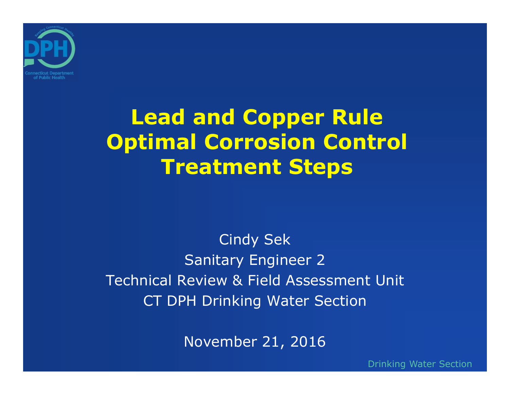

## **Lead and Copper Rule Optimal Corrosion Control Treatment Steps**

Cindy Sek Sanitary Engineer 2 Technical Review & Field Assessment UnitCT DPH Drinking Water Section

November 21, 2016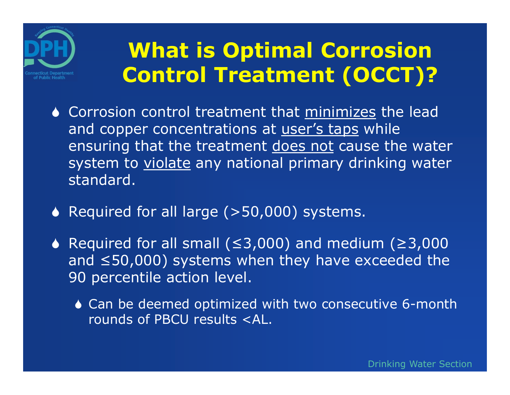

## **What is Optimal Corrosion Control Treatment (OCCT)?**

- Corrosion control treatment that minimizes the lead and copper concentrations at user's taps while ensuring that the treatment does not cause the water system to violate any national primary drinking water standard.
- ◆ Required for all large (>50,000) systems.
- Required for all small (≤3,000) and medium (≥3,000 and ≤50,000) systems when they have exceeded the 90 percentile action level.
	- ◆ Can be deemed optimized with two consecutive 6-month rounds of PBCU results <AL.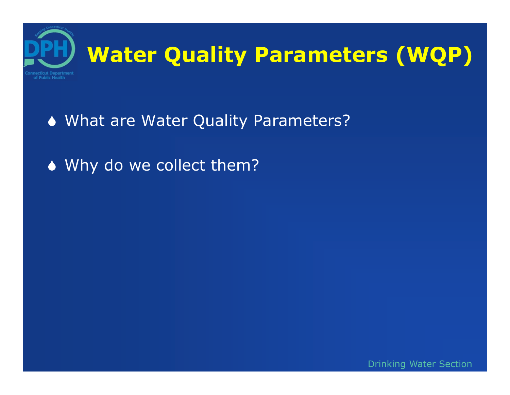

- What are Water Quality Parameters?
- ◆ Why do we collect them?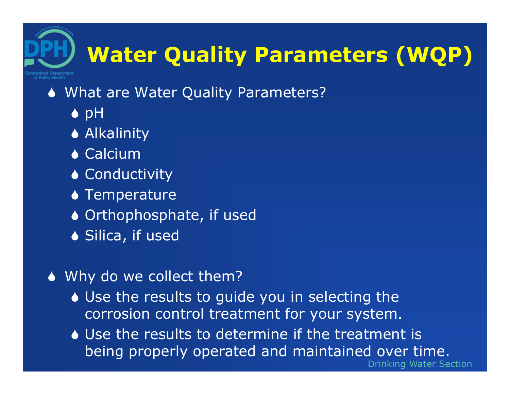# **Water Quality Parameters (WQP)**

#### What are Water Quality Parameters?

- $\bullet$  pH
- ◆ Alkalinity
- **◆ Calcium**
- ◆ Conductivity
- ◆ Temperature
- ◆ Orthophosphate, if used
- ◆ Silica, if used
- ◆ Why do we collect them?
	- Use the results to guide you in selecting the corrosion control treatment for your system.
	- Use the results to determine if the treatment is being properly operated and maintained over time.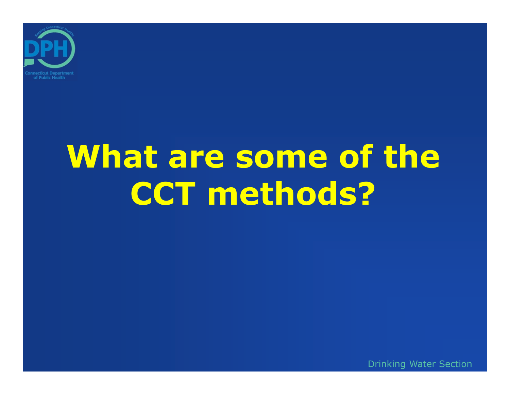

# What are some of the **CCT methods?**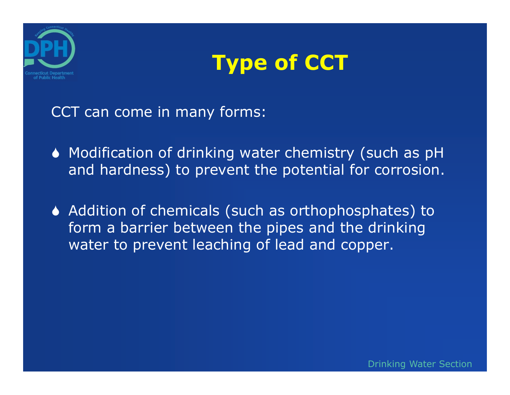



CCT can come in many forms:

- Modification of drinking water chemistry (such as pH and hardness) to prevent the potential for corrosion.
- ◆ Addition of chemicals (such as orthophosphates) to form a barrier between the pipes and the drinking water to prevent leaching of lead and copper.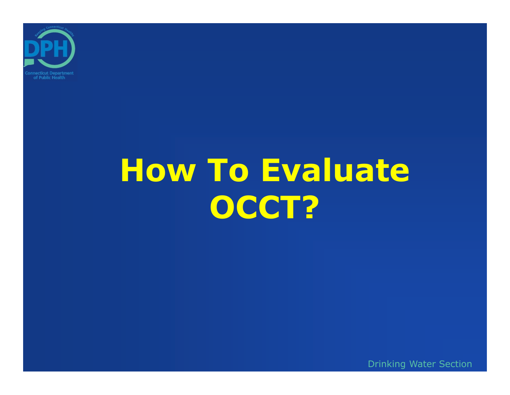

# **How To Evaluate OCCT?**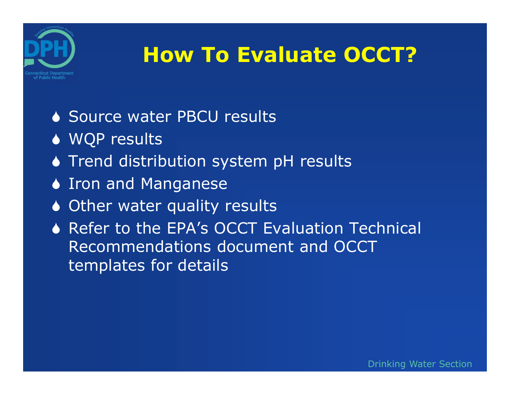

## **How To Evaluate OCCT?**

- ◆ Source water PBCU results
- ◆ WQP results
- **Trend distribution system pH results**
- ♦ Iron and Manganese
- ◆ Other water quality results
- ◆ Refer to the EPA's OCCT Evaluation Technical Recommendations document and OCCT templates for details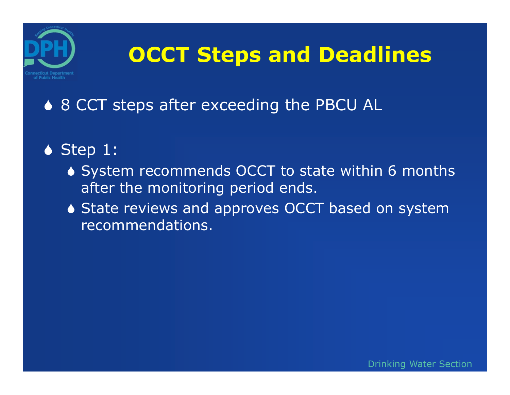

## **OCCT Steps and Deadlines**

#### ♦ 8 CCT steps after exceeding the PBCU AL

#### $\bullet$  Step 1:

- ♦ System recommends OCCT to state within 6 months after the monitoring period ends.
- ◆ State reviews and approves OCCT based on system recommendations.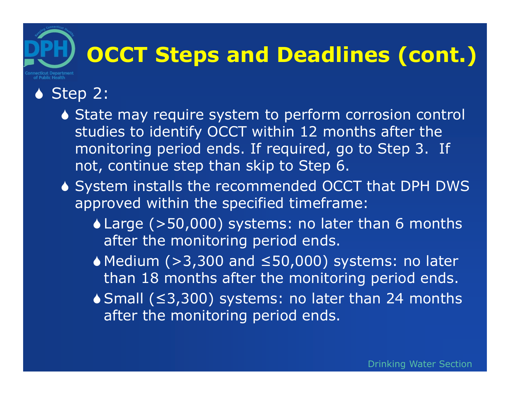### $\bullet$  Step 2:

of Public Health

- ◆ State may require system to perform corrosion control studies to identify OCCT within 12 months after the monitoring period ends. If required, go to Step 3. If not, continue step than skip to Step 6.
- System installs the recommended OCCT that DPH DWS approved within the specified timeframe:
	- Large (>50,000) systems: no later than 6 months after the monitoring period ends.
	- Medium (>3,300 and ≤50,000) systems: no later than 18 months after the monitoring period ends.
	- Small (≤3,300) systems: no later than 24 months after the monitoring period ends.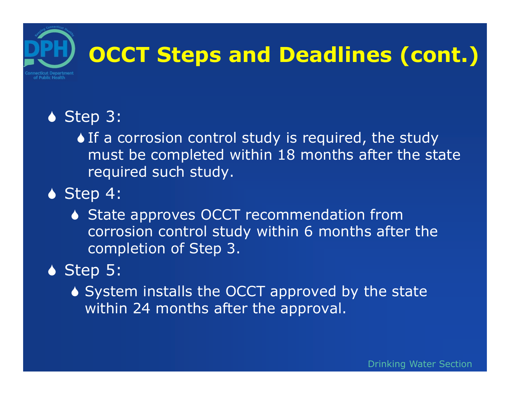#### ◆ Step 3:

If a corrosion control study is required, the study must be completed within 18 months after the state required such study.

- $\bullet$  Step 4:
	- ◆ State approves OCCT recommendation from corrosion control study within 6 months after the completion of Step 3.

### $\bullet$  Step 5:

♦ System installs the OCCT approved by the state within 24 months after the approval.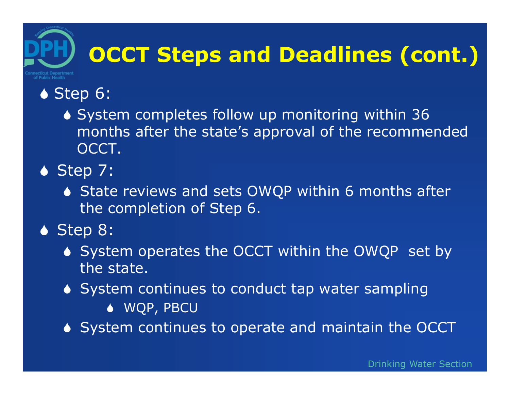#### ◆ Step 6:

of Public Health

 System completes follow up monitoring within 36 months after the state's approval of the recommended OCCT.

#### $\bullet$  Step 7:

◆ State reviews and sets OWQP within 6 months after the completion of Step 6.

#### ◆ Step 8:

- ◆ System operates the OCCT within the OWQP set by the state.
- ♦ System continues to conduct tap water sampling
	- WQP, PBCU
- ◆ System continues to operate and maintain the OCCT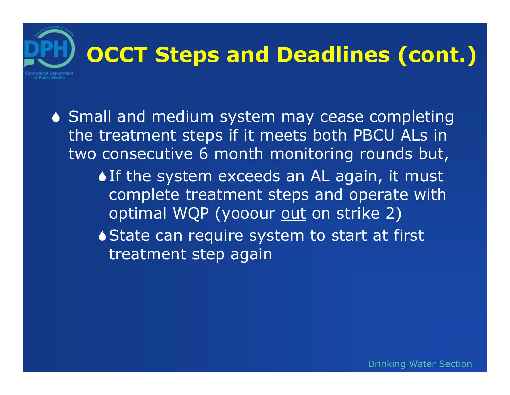Small and medium system may cease completing the treatment steps if it meets both PBCU ALs in two consecutive 6 month monitoring rounds but,

> If the system exceeds an AL again, it must complete treatment steps and operate with optimal WQP (yooour out on strike 2)

◆ State can require system to start at first treatment step again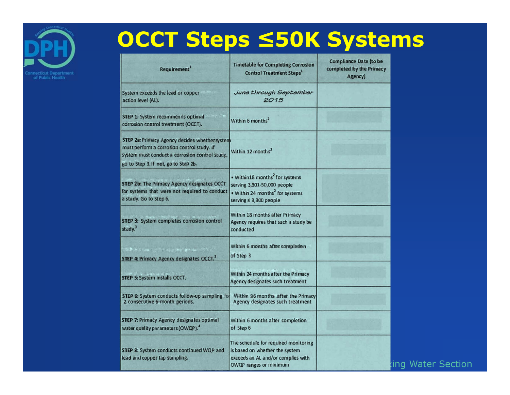

## **OCCT Steps ≤50K Systems**

| Requirement <sup>1</sup>                                                                                                                                                              | <b>Timetable for Completing Corrosion</b><br><b>Control Treatment Steps<sup>1</sup></b>                                                             | <b>Compliance Date (to be</b><br>completed by the Primacy<br>Agency) |
|---------------------------------------------------------------------------------------------------------------------------------------------------------------------------------------|-----------------------------------------------------------------------------------------------------------------------------------------------------|----------------------------------------------------------------------|
| System exceeds the lead or copper<br>action level (AL).                                                                                                                               | June through September<br>2015                                                                                                                      |                                                                      |
| STEP 1: System recommends optimal<br>corrosion control treatment (OCCT).                                                                                                              | Within 6 months <sup>2</sup>                                                                                                                        |                                                                      |
| STEP 2a: Primacy Agency decides whethersystem<br>must perform a corrosion control study. If<br>system must conduct a corrosion control study,<br>go to Step 3. If not, go to Step 2b. | Within 12 months <sup>2</sup>                                                                                                                       |                                                                      |
| <b>STEP 2b: The Primacy Agency designates OCCT</b><br>for systems that were not required to conduct<br>a study. Go to Step 6.                                                         | . Within 18 months <sup>2</sup> for systems<br>serving 3,301-50,000 people<br>. Within 24 months <sup>2</sup> for systems<br>serving ≤ 3,300 people |                                                                      |
| STEP 3: System completes corrosion control<br>study. <sup>3</sup>                                                                                                                     | Within 18 months after Primacy<br>Agency requires that such a study be<br>conducted                                                                 |                                                                      |
| STEP 4: Primacy Agency designates OCCT. <sup>3</sup>                                                                                                                                  | Within 6 months after completion<br>of Step 3                                                                                                       |                                                                      |
| STEP 5: System installs OCCT.                                                                                                                                                         | Within 24 months after the Primacy<br>Agency designates such treatment                                                                              |                                                                      |
| STEP 6: System conducts follow-up sampling for<br>2 consecutive 6-month periods.                                                                                                      | Within 36 months after the Primacy<br>Agency designates such treatment                                                                              |                                                                      |
| <b>STEP 7: Primacy Agency designates optimal</b><br>water quality parameters (OWQP). <sup>4</sup>                                                                                     | Within 6 months after completion<br>of Step 6                                                                                                       |                                                                      |
| STEP 8: System conducts continued WQP and<br>lead and copper tap sampling.                                                                                                            | The schedule for required monitoring<br>is based on whether the system<br>exceeds an AL and/or complies with<br>OWQP ranges or minimum              |                                                                      |

#### ing Water Section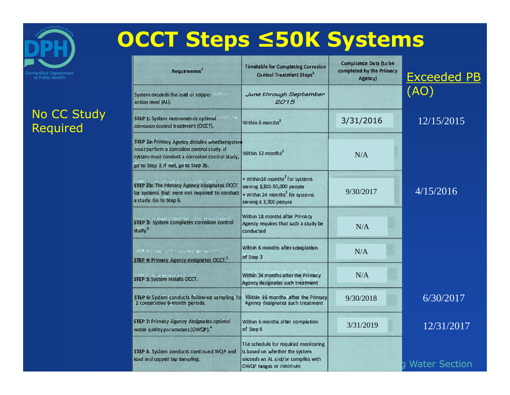

#### No CC Study Required

| Requirement <sup>1</sup>                                                                                                                                                              | <b>Timetable for Completing Corrosion</b><br><b>Control Treatment Steps1</b>                                                                        | <b>Compliance Date (to be</b><br>completed by the Primacy<br>Agency) | <b>Exceeded PB</b> |
|---------------------------------------------------------------------------------------------------------------------------------------------------------------------------------------|-----------------------------------------------------------------------------------------------------------------------------------------------------|----------------------------------------------------------------------|--------------------|
| System exceeds the lead or copper<br>action level (AL).                                                                                                                               | June through September<br>2015                                                                                                                      |                                                                      | (AO)               |
| STEP 1: System recommends optimal<br>corrosion control treatment (OCCT).                                                                                                              | Within 6 months <sup>2</sup>                                                                                                                        | 3/31/2016                                                            | 12/15/2015         |
| STEP 2a: Primacy Agency decides whethersystem<br>must perform a corrosion control study. If<br>system must conduct a corrosion control study,<br>go to Step 3. If not, go to Step 2b. | Within 12 months <sup>2</sup>                                                                                                                       | N/A                                                                  |                    |
| STEP 2b: The Primacy Agency designates OCCT<br>for systems that were not required to conduct<br>a study. Go to Step 6.                                                                | . Within 18 months <sup>2</sup> for systems<br>serving 3,301-50,000 people<br>. Within 24 months <sup>2</sup> for systems<br>serving ≤ 3,300 people | 9/30/2017                                                            | 4/15/2016          |
| STEP 3: System completes corrosion control<br>study. <sup>3</sup>                                                                                                                     | Within 18 months after Primacy<br>Agency requires that such a study be<br>conducted                                                                 | N/A                                                                  |                    |
| the extra children as a mile<br>STEP 4: Primacy Agency designates OCCT.                                                                                                               | Within 6 months after completion<br>of Step 3                                                                                                       | N/A                                                                  |                    |
| STEP 5: System installs OCCT.                                                                                                                                                         | Within 24 months after the Primacy<br>Agency designates such treatment                                                                              | N/A                                                                  |                    |
| STEP 6: System conducts follow-up sampling for<br>2 consecutive 6-month periods.                                                                                                      | Within 36 months after the Primacy<br>Agency designates such treatment                                                                              | 9/30/2018                                                            | 6/30/2017          |
| <b>STEP 7: Primacy Agency designates optimal</b><br>water quality parameters (OWQP). <sup>4</sup>                                                                                     | Within 6 months after completion<br>of Step 6                                                                                                       | 3/31/2019                                                            | 12/31/2017         |
| STEP 8: System conducts continued WQP and<br>lead and copper tap sampling.                                                                                                            | The schedule for required monitoring<br>is based on whether the system<br>exceeds an AL and/or complies with<br>OWQP ranges or minimum              |                                                                      | g Water Section    |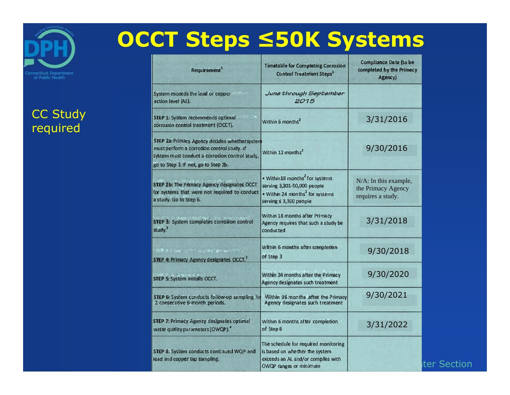

#### CC Study required

## **OCCT Steps ≤50K Systems**

| Requirement <sup>1</sup>                                                                                                                                                              | <b>Timetable for Completing Corrosion</b><br><b>Control Treatment Steps<sup>1</sup></b>                                                            | <b>Compliance Date (to be</b><br>completed by the Primacy<br>Agency) |
|---------------------------------------------------------------------------------------------------------------------------------------------------------------------------------------|----------------------------------------------------------------------------------------------------------------------------------------------------|----------------------------------------------------------------------|
| System exceeds the lead or copper<br>action level (AL).                                                                                                                               | June through September<br>2015                                                                                                                     |                                                                      |
| STEP 1: System recommends optimal<br>corrosion control treatment (OCCT).                                                                                                              | Within 6 months <sup>2</sup>                                                                                                                       | 3/31/2016                                                            |
| STEP 2a: Primacy Agency decides whethersystem<br>must perform a corrosion control study. If<br>system must conduct a corrosion control study,<br>go to Step 3. If not, go to Step 2b. | Within 12 months <sup>2</sup>                                                                                                                      | 9/30/2016                                                            |
| STEP 2b: The Primacy Agency designates OCCT<br>for systems that were not required to conduct<br>a study. Go to Step 6.                                                                | . Within18 months <sup>2</sup> for systems<br>serving 3,301-50,000 people<br>. Within 24 months <sup>2</sup> for systems<br>serving ≤ 3,300 people | N/A: In this example,<br>the Primacy Agency<br>requires a study.     |
| STEP 3: System completes corrosion control<br>study. <sup>3</sup>                                                                                                                     | Within 18 months after Primacy<br>Agency requires that such a study be<br>conducted                                                                | 3/31/2018                                                            |
| SA ASSA (che quale et<br>STEP 4: Primacy Agency designates OCCT. <sup>3</sup>                                                                                                         | Within 6 months after completion<br>of Step 3                                                                                                      | 9/30/2018                                                            |
| <b>STEP 5: System installs OCCT.</b>                                                                                                                                                  | Within 24 months after the Primacy<br>Agency designates such treatment                                                                             | 9/30/2020                                                            |
| STEP 6: System conducts follow-up sampling for<br>2 consecutive 6-month periods.                                                                                                      | Within 36 months after the Primacy<br>Agency designates such treatment                                                                             | 9/30/2021                                                            |
| <b>STEP 7: Primacy Agency designates optimal</b><br>water quality parameters (OWQP). <sup>4</sup>                                                                                     | Within 6 months after completion<br>of Step 6                                                                                                      | 3/31/2022                                                            |
| STEP 8: System conducts continued WQP and<br>lead and copper tap sampling.                                                                                                            | The schedule for required monitoring<br>is based on whether the system<br>exceeds an AL and/or complies with<br>OWQP ranges or minimum             |                                                                      |

ter Section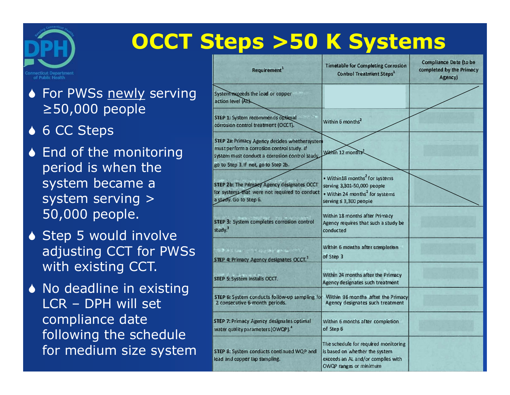

## **OCCT Steps >50 K Systems**

◆ For PWSs newly serving ≥50,000 people

◆ 6 CC Steps

- ◆ End of the monitoring period is when the system became a system serving > 50,000 people.
- ◆ Step 5 would involve adjusting CCT for PWSs with existing CCT.
- ◆ No deadline in existing LCR – DPH will set compliance date following the schedule for medium size system

| Requirement <sup>1</sup>                                                                                                                                                              | <b>Timetable for Completing Corrosion</b><br><b>Control Treatment Steps<sup>1</sup></b>                                                             | <b>Compliance Date (to be</b><br>completed by the Primacy<br>Agency) |
|---------------------------------------------------------------------------------------------------------------------------------------------------------------------------------------|-----------------------------------------------------------------------------------------------------------------------------------------------------|----------------------------------------------------------------------|
| System exceeds the lead or copper<br>action level (AL).                                                                                                                               |                                                                                                                                                     |                                                                      |
| STEP 1: System recommends optimal<br>corrosion control treatment (OCCT).                                                                                                              | Within 6 months <sup>2</sup>                                                                                                                        |                                                                      |
| STEP 2a: Primacy Agency decides whethersystem<br>must perform a corrosion control study. If<br>system must conduct a corrosion control study.<br>go to Step 3. If not, go to Step 2b. | Within 12 months                                                                                                                                    |                                                                      |
| STEP 2b: The Primacy Agency designates OCCT<br>for systems that were not required to conduct<br>a study. Go to Step 6.                                                                | . Within 18 months <sup>2</sup> for systems<br>serving 3,301-50,000 people<br>. Within 24 months <sup>2</sup> for systems<br>serving ≤ 3,300 people |                                                                      |
| STEP 3: System completes corrosion control<br>study. <sup>3</sup>                                                                                                                     | Within 18 months after Primacy<br>Agency requires that such a study be<br>conducted                                                                 |                                                                      |
| 「三十五日 のことの のことの あい<br>STEP 4: Primacy Agency designates OCCT. <sup>3</sup>                                                                                                            | Within 6 months after completion<br>of Step 3                                                                                                       |                                                                      |
| STEP 5: System installs OCCT.                                                                                                                                                         | Within 24 months after the Primacy<br>Agency designates such treatment                                                                              |                                                                      |
| STEP 6: System conducts follow-up sampling for<br>2 consecutive 6-month periods.                                                                                                      | Within 36 months after the Primacy<br>Agency designates such treatment                                                                              |                                                                      |
| <b>STEP 7: Primacy Agency designates optimal</b><br>water quality parameters (OWQP). <sup>4</sup>                                                                                     | Within 6 months after completion<br>of Step 6                                                                                                       |                                                                      |
| STEP 8: System conducts continued WQP and<br>lead and copper tap sampling.                                                                                                            | The schedule for required monitoring<br>is based on whether the system<br>exceeds an AL and/or complies with<br>OWQP ranges or minimum              |                                                                      |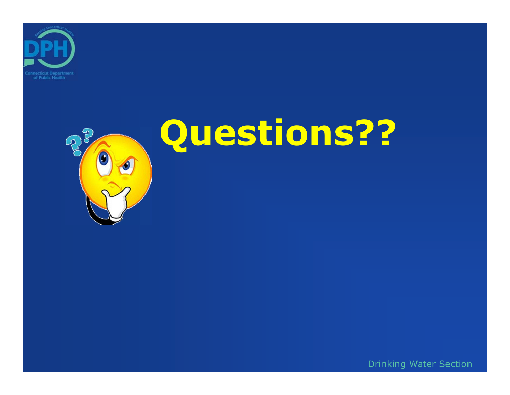



# **Questions??**